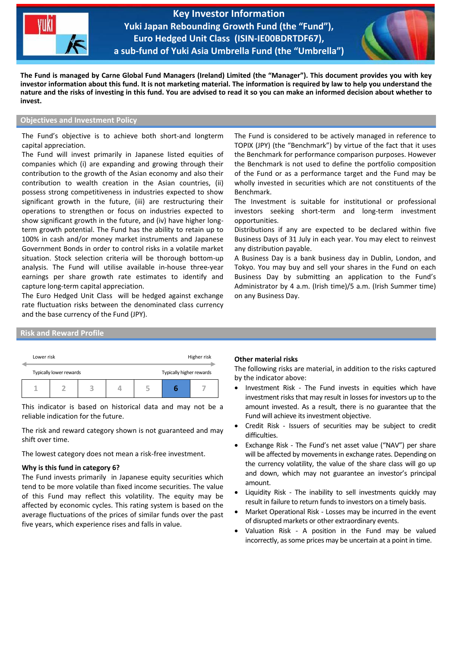

**Key Investor Information Yuki Japan Rebounding Growth Fund (the "Fund"), Euro Hedged Unit Class (ISIN-IE00BDRTDF67), a sub-fund of Yuki Asia Umbrella Fund (the "Umbrella")**

֦



**The Fund is managed by Carne Global Fund Managers (Ireland) Limited (the "Manager"). This document provides you with key investor information about this fund. It is not marketing material. The information is required by law to help you understand the nature and the risks of investing in this fund. You are advised to read it so you can make an informed decision about whether to invest.**

# **Objectives and Investment Policy**

The Fund's objective is to achieve both short-and longterm capital appreciation.

The Fund will invest primarily in Japanese listed equities of companies which (i) are expanding and growing through their contribution to the growth of the Asian economy and also their contribution to wealth creation in the Asian countries, (ii) possess strong competitiveness in industries expected to show significant growth in the future, (iii) are restructuring their operations to strengthen or focus on industries expected to show significant growth in the future, and (iv) have higher longterm growth potential. The Fund has the ability to retain up to 100% in cash and/or money market instruments and Japanese Government Bonds in order to control risks in a volatile market situation. Stock selection criteria will be thorough bottom-up analysis. The Fund will utilise available in-house three-year earnings per share growth rate estimates to identify and capture long-term capital appreciation.

The Euro Hedged Unit Class will be hedged against exchange rate fluctuation risks between the denominated class currency and the base currency of the Fund (JPY).

The Fund is considered to be actively managed in reference to TOPIX (JPY) (the "Benchmark") by virtue of the fact that it uses the Benchmark for performance comparison purposes. However the Benchmark is not used to define the portfolio composition of the Fund or as a performance target and the Fund may be wholly invested in securities which are not constituents of the Benchmark.

The Investment is suitable for institutional or professional investors seeking short-term and long-term investment opportunities.

Distributions if any are expected to be declared within five Business Days of 31 July in each year. You may elect to reinvest any distribution payable.

A Business Day is a bank business day in Dublin, London, and Tokyo. You may buy and sell your shares in the Fund on each Business Day by submitting an application to the Fund's Administrator by 4 a.m. (Irish time)/5 a.m. (Irish Summer time) on any Business Day.

#### **Risk and Reward Profile**

|  | Lower risk              |  |  |  |  | Higher risk              |  |
|--|-------------------------|--|--|--|--|--------------------------|--|
|  | Typically lower rewards |  |  |  |  | Typically higher rewards |  |
|  |                         |  |  |  |  |                          |  |

This indicator is based on historical data and may not be a reliable indication for the future.

The risk and reward category shown is not guaranteed and may shift over time.

The lowest category does not mean a risk-free investment.

### **Why is this fund in category 6?**

The Fund invests primarily in Japanese equity securities which tend to be more volatile than fixed income securities. The value of this Fund may reflect this volatility. The equity may be affected by economic cycles. This rating system is based on the average fluctuations of the prices of similar funds over the past five years, which experience rises and falls in value.

## **Other material risks**

The following risks are material, in addition to the risks captured by the indicator above:

- Investment Risk The Fund invests in equities which have investment risks that may result in losses for investors up to the amount invested. As a result, there is no guarantee that the Fund will achieve its investment objective.
- Credit Risk Issuers of securities may be subject to credit difficulties.
- Exchange Risk The Fund's net asset value ("NAV") per share will be affected by movements in exchange rates. Depending on the currency volatility, the value of the share class will go up and down, which may not guarantee an investor's principal amount.
- Liquidity Risk The inability to sell investments quickly may result in failure to return funds to investors on a timely basis.
- Market Operational Risk Losses may be incurred in the event of disrupted markets or other extraordinary events.
- Valuation Risk A position in the Fund may be valued incorrectly, as some prices may be uncertain at a point in time.